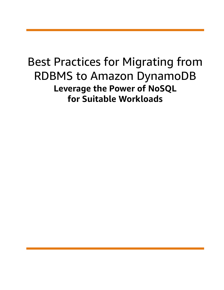## Best Practices for Migrating from RDBMS to Amazon DynamoDB **Leverage the Power of NoSQL for Suitable Workloads**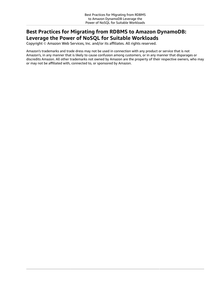### **Best Practices for Migrating from RDBMS to Amazon DynamoDB: Leverage the Power of NoSQL for Suitable Workloads**

Copyright © Amazon Web Services, Inc. and/or its affiliates. All rights reserved.

Amazon's trademarks and trade dress may not be used in connection with any product or service that is not Amazon's, in any manner that is likely to cause confusion among customers, or in any manner that disparages or discredits Amazon. All other trademarks not owned by Amazon are the property of their respective owners, who may or may not be affiliated with, connected to, or sponsored by Amazon.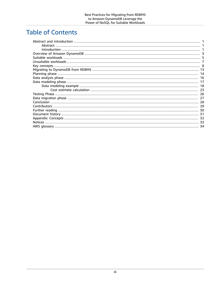### **Table of Contents**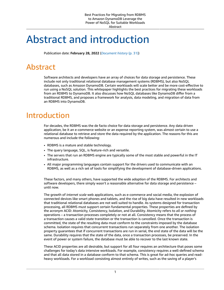### <span id="page-3-0"></span>Abstract and introduction

Publication date: **February 28, 2022** (*[Document](#page-33-0) history* [\(p. 31\)](#page-33-0))

### <span id="page-3-1"></span>Abstract

Software architects and developers have an array of choices for data storage and persistence. These include not only traditional relational database management systems (RDBMS), but also NoSQL databases, such as Amazon DynamoDB. Certain workloads will scale better and be more cost-effective to run using a NoSQL solution. This whitepaper highlights the best practices for migrating these workloads from an RDBMS to DynamoDB. It also discusses how NoSQL databases like DynamoDB differ from a traditional RDBMS, and proposes a framework for analysis, data modeling, and migration of data from an RDBMS into DynamoDB.

### <span id="page-3-2"></span>Introduction

For decades, the RDBMS was the de facto choice for data storage and persistence. Any data driven application, be it an e-commerce website or an expense reporting system, was almost certain to use a relational database to retrieve and store the data required by the application. The reasons for this are numerous and include the following:

- RDBMS is a mature and stable technology.
- The query language, SQL, is feature-rich and versatile.
- The servers that run an RDBMS engine are typically some of the most stable and powerful in the IT infrastructure.
- All major programming languages contain support for the drivers used to communicate with an RDBMS, as well as a rich set of tools for simplifying the development of database-driven applications.

These factors, and many others, have supported the wide adoption of the RDBMS. For architects and software developers, there simply wasn't a reasonable alternative for data storage and persistence – until now.

The growth of *internet scale* web applications, such as e-commerce and social media, the explosion of connected devices like smart phones and tablets, and the rise of big data have resulted in new workloads that traditional relational databases are not well suited to handle. As systems designed for transaction processing, all RDBMS must support certain fundamental properties. These properties are defined by the acronym ACID: Atomicity, Consistency, Isolation, and Durability. Atomicity refers to *all or nothing* operations – a transaction processes completely or not at all. Consistency means that the process of a transaction causes a valid state transition or the transaction is cancelled. Once the transaction is committed, the state of the resulting data must conform to the constraints imposed by the database schema. Isolation requires that concurrent transactions run separately from one another. The isolation property guarantees that if concurrent transactions are run in serial, the end state of the data will be the same. Durability requires that the state of the data, once a transaction processes, be preserved. In the event of power or system failure, the database must be able to recover to the last known state.

These ACID properties are all desirable, but support for all four requires an architecture that poses some challenges for today's data intensive workloads. For example, consistency requires a well-defined schema and that all data stored in a database conform to that schema. This is great for ad-hoc queries and readheavy workloads. For a workload consisting almost entirely of writes, such as the saving of a player's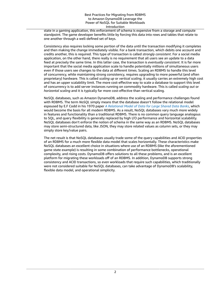state in a gaming application, this enforcement of schema is expensive from a storage and compute standpoint. The game developer benefits little by forcing this data into rows and tables that relate to one another through a well-defined set of keys.

Consistency also requires locking some portion of the data until the transaction modifying it completes and then making the change immediately visible. For a bank transaction, which debits one account and credits another, this is required. This type of transaction is called *strongly consistent*. For a social media application, on the other hand, there really is no requirement that all users see an update to a data feed at precisely the same time. In this latter case, the transaction is *eventually consistent*. It is far more important that the social media application scale to handle potentially millions of simultaneous users even if those users see changes to the data at different times. Scaling an RDBMS to handle this level of concurrency, while maintaining strong consistency, requires upgrading to more powerful (and often proprietary) hardware. This is called *scaling up* or *vertical scaling*, it usually carries an extremely high cost and has an upper scalability limit. The more cost-effective way to scale a database to support this level of concurrency is to add server instances running on commodity hardware. This is called *scaling out* or *horizontal scaling* and it is typically far more cost-effective than vertical scaling.

NoSQL databases, such as Amazon DynamoDB, address the scaling and performance challenges found with RDBMS. The term *NoSQL* simply means that the database doesn't follow the relational model espoused by E.F Codd in his 1970 paper *A [Relational](http://www.seas.upenn.edu/~zives/03f/cis550/codd.pdf) Model of Data for Large Shared Data Banks*, which would become the basis for all modern RDBMS. As a result, NoSQL databases vary much more widely in features and functionality than a traditional RDBMS. There is no common query language analogous to SQL, and query flexibility is generally replaced by high I/O performance and horizontal scalability. NoSQL databases don't enforce the notion of schema in the same way as an RDBMS. NoSQL databases may store semi-structured data, like JSON, they may store related values as column sets, or they may simply store key/value pairs.

The net result is that NoSQL databases usually trade some of the query capabilities and ACID properties of an RDBMS for a much more flexible data model that scales horizontally. These characteristics make NoSQL databases an excellent choice in situations where use of an RDBMS (like the aforementioned game state example) is resulting in some combination of performance bottlenecks, operational complexity, and rising costs. DynamoDB offers solutions to all these problems, and is an excellent platform for migrating these workloads off of an RDBMS. In addition, DynamoDB supports strong consistency and ACID transactions, so even workloads that require such capabilities, which traditionally were not considered suitable for NoSQL databases, can take advantage of DynamoDB's scalability, flexible data model, and operational simplicity.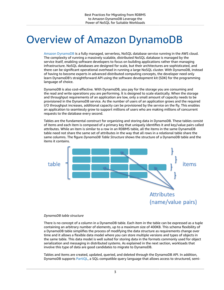## <span id="page-5-0"></span>Overview of Amazon DynamoDB

Amazon [DynamoDB](http://aws.amazon.com/dynamodb/) is a fully managed, serverless, NoSQL database service running in the AWS cloud. The complexity of running a massively scalable, distributed NoSQL database is managed by the service itself, enabling software developers to focus on building applications rather than managing infrastructure. NoSQL databases are designed for scale, but their architectures are sophisticated, and there can be significant operational overhead in running a large NoSQL cluster. With DynamoDB, instead of having to become experts in advanced distributed computing concepts, the developer need only learn DynamoDB's straightforward API using the software development kit (SDK) for the programming language of choice.

DynamoDB is also cost-effective. With DynamoDB, you pay for the storage you are consuming and the read and write operations you are performing. It is designed to scale elastically. When the storage and throughput requirements of an application are low, only a small amount of capacity needs to be provisioned in the DynamoDB service. As the number of users of an application grows and the required I/O throughput increases, additional capacity can be provisioned by the service on the fly. This enables an application to seamlessly grow to support millions of users who are making millions of concurrent requests to the database every second.

Tables are the fundamental construct for organizing and storing data in DynamoDB. These tables consist of items and each item is composed of a primary key that uniquely identifies it and key/value pairs called attributes. While an item is similar to a row in an RDBMS table, all the items in the same DynamoDB table need not share the same set of attributes in the way that all rows in a relational table share the same columns. The figure *DynamoDB Table Structure* shows the structure of a DynamoDB table and the items it contains.



#### *DynamoDB table structure*

There is no concept of a column in a DynamoDB table. Each item in the table can be expressed as a tuple containing an arbitrary number of elements, up to a maximum size of 400KB. This schema flexibility of a DynamoDB table simplifies the process of modifying the data structure as requirements change over time and it allows a flexible data model where you can store multiple versions and types of objects in the same table. This data model is well suited for storing data in the formats commonly used for object serialization and messaging in distributed systems. As explained in the next section, workloads that involve this type of data are good candidates to migrate to DynamoDB.

Tables and items are created, updated, queried, and deleted through the DynamoDB API. In addition, DynamoDB supports [PartiQL](https://partiql.org/), a SQL-compatible query language that allows access to structured, semi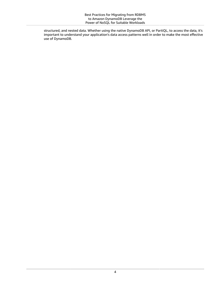structured, and nested data. Whether using the native DynamoDB API, or PartiQL, to access the data, it's important to understand your application's data access patterns well in order to make the most effective use of DynamoDB.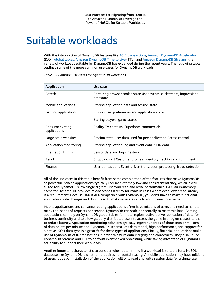### <span id="page-7-0"></span>Suitable workloads

With the introduction of DynamoDB features like ACID [transactions,](https://docs.aws.amazon.com/amazondynamodb/latest/developerguide/transactions.html) Amazon DynamoDB [Accelerator](http://aws.amazon.com/dynamodb/dax/) (DAX), [global tables](http://aws.amazon.com/dynamodb/global-tables/), Amazon [DynamoDB](https://docs.aws.amazon.com/amazondynamodb/latest/developerguide/TTL.html) Time to Live (TTL), and Amazon [DynamoDB](https://docs.aws.amazon.com/amazondynamodb/latest/developerguide/Streams.html) Streams, the variety of workloads suitable for DynamoDB has expanded during the recent years. The following table outlines some of the more common use-cases for DynamoDB workloads.

| Application                     | Use case                                                                          |
|---------------------------------|-----------------------------------------------------------------------------------|
| Adtech                          | Capturing browser cookie state User events, clickstream, impressions<br>datastore |
| Mobile applications             | Storing application data and session state                                        |
| Gaming applications             | Storing user preferences and application state                                    |
|                                 | Storing players' game states                                                      |
| Consumer voting<br>applications | Reality TV contests, Superbowl commercials                                        |
| Large scale websites            | Session state User data used for personalization Access control                   |
| Application monitoring          | Storing application log and event data JSON data                                  |
| Internet of Things              | Sensor data and log ingestion                                                     |
| Retail                          | Shopping cart Customer profiles Inventory tracking and fulfillment                |
| Finance                         | User transactions Event-driven transaction processing, fraud detection            |

*Table 1 – Common use-cases for DynamoDB workloads*

All of the use-cases in this table benefit from some combination of the features that make DynamoDB so powerful. Adtech applications typically require extremely low and consistent latency, which is well suited for DynamoDB's low single digit millisecond read and write performance. DAX, an in-memory cache for DynamoDB, provides microseconds latency for reads in cases where even lower read latency is a requirement. Because DAX is API-compatible with DynamoDB, you don't have to make functional application code changes and don't need to make separate calls to your in-memory cache.

Mobile applications and consumer voting applications often have millions of users and need to handle many thousands of requests per second. DynamoDB can scale horizontally to meet this load. Gaming applications can rely on DynamoDB global tables for multi-region, active-active replication of data for business continuity and to allow globally distributed users to access the game in a region closest to them to reduce latency. Application monitoring solutions typically ingest hundreds of thousands or millions of data points per minute and DynamoDB's schema-less data model, high performance, and support for a native JSON data type is a great fit for these types of applications. Finally, financial applications make use of DynamoDB ACID transactions in order to assure data integrity and correctness. They also utilize DynamoDB Streams and TTL to perform event driven processing, while taking advantage of DynamoDB scalability to support their workloads.

Another important characteristic to consider when determining if a workload is suitable for a NoSQL database like DynamoDB is whether it requires horizontal scaling. A mobile application may have millions of users, but each installation of the application will only read and write session data for a single user.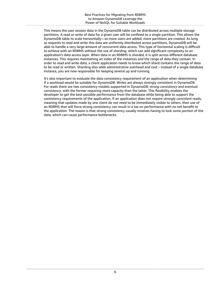This means the user session data in the DynamoDB table can be distributed across multiple storage partitions. A read or write of data for a given user will be confined to a single partition. This allows the DynamoDB table to scale horizontally—as more users are added, more partitions are created. As long as requests to read and write this data are uniformly distributed across partitions, DynamoDB will be able to handle a very large amount of concurrent data access. This type of horizontal scaling is difficult to achieve with an RDBMS without the use of *sharding*, which can add significant complexity to an application's data access layer. When data in an RDBMS is *sharded*, it is split across different database instances. This requires maintaining an index of the instances and the range of data they contain. In order to read and write data, a client application needs to know which shard contains the range of data to be read or written. Sharding also adds administrative overhead and cost – instead of a single database instance, you are now responsible for keeping several up and running.

It's also important to evaluate the data consistency requirement of an application when determining if a workload would be suitable for DynamoDB. Writes are always strongly consistent in DynamoDB. For reads there are two consistency models supported in DynamoDB: *strong consistency* and *eventual consistency*, with the former requiring more capacity than the latter. This flexibility enables the developer to get the best possible performance from the database while being able to support the consistency requirements of the application. If an application does not require *strongly consistent* reads, meaning that updates made by one client do not need to be immediately visible to others, then use of an RDBMS that will force strong consistency can result in a tax on performance with no net benefit to the application. The reason is that strong consistency usually involves having to lock some portion of the data, which can cause performance bottlenecks.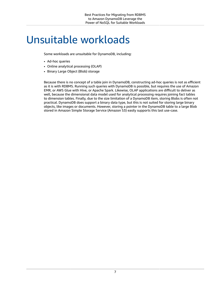### <span id="page-9-0"></span>Unsuitable workloads

Some workloads are unsuitable for DynamoDB, including:

- Ad-hoc queries
- Online analytical processing (OLAP)
- Binary Large Object (Blob) storage

Because there is no concept of a table join in DynamoDB, constructing ad-hoc queries is not as efficient as it is with RDBMS. Running such queries with DynamoDB is possible, but requires the use of Amazon EMR, or AWS Glue with Hive, or Apache Spark. Likewise, OLAP applications are difficult to deliver as well, because the dimensional data model used for analytical processing requires joining fact tables to dimension tables. Finally, due to the size limitation of a DynamoDB item, storing Blobs is often not practical. DynamoDB does support a binary data type, but this is not suited for storing large binary objects, like images or documents. However, storing a pointer in the DynamoDB table to a large Blob stored in Amazon Simple Storage Service (Amazon S3) easily supports this last use-case.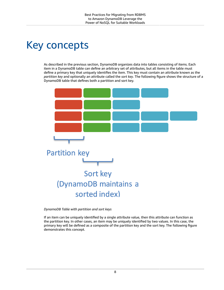# <span id="page-10-0"></span>Key concepts

As described in the previous section, DynamoDB organizes data into tables consisting of items. Each item in a DynamoDB table can define an arbitrary set of attributes, but all items in the table must define a primary key that uniquely identifies the item. This key must contain an attribute known as the *partition key* and optionally an attribute called the *sort key*. The following figure shows the structure of a DynamoDB table that defines both a partition and sort key.



*DynamoDB Table with partition and sort keys*

If an item can be uniquely identified by a single attribute value, then this attribute can function as the partition key. In other cases, an item may be uniquely identified by two values. In this case, the primary key will be defined as a composite of the partition key and the sort key. The following figure demonstrates this concept.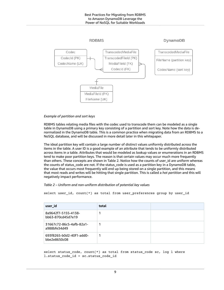

#### *Example of partition and sort keys*

RDBMS tables relating media files with the codec used to transcode them can be modeled as a single table in DynamoDB using a primary key consisting of a partition and sort key. Note how the data is denormalized in the DynamoDB table. This is a common practice when migrating data from an RDBMS to a NoSQL database, and will be discussed in more detail later in this whitepaper.

The ideal partition key will contain a large number of distinct values uniformly distributed across the items in the table. A user ID is a good example of an attribute that tends to be uniformly distributed across items in a table. Attributes that would be modeled as lookup values or enumerations in an RDBMS tend to make poor partition keys. The reason is that certain values may occur much more frequently than others. These concepts are shown in Table 2. Notice how the counts of user\_id are uniform whereas the counts of status\_code are not. If the status\_code is used as a partition key in a DynamoDB table, the value that occurs most frequently will end up being stored on a single partition, and this means that most reads and writes will be hitting that single partition. This is called a *hot partition* and this will negatively impact performance.

#### *Table 2 – Uniform and non-uniform distribution of potential key values*

select user\_id, count(\*) as total from user\_preferences group by user\_id

| user_id                                  | total |  |
|------------------------------------------|-------|--|
| 8a9642f7-5155-4138-<br>bb63-870cd45d7e19 |       |  |
| 31667c72-86c5-4afb-82a1-<br>a988bfe34d49 |       |  |
| 693f8265-b0d2-40f1-add0-<br>bbe2e8650c08 |       |  |

select status\_code, count(\*) as total from status\_code sc, log l where l.status\_code\_id = sc.status\_code\_id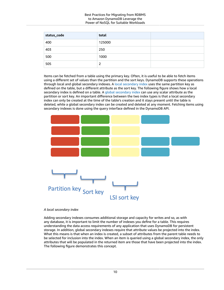| status_code | total  |  |
|-------------|--------|--|
| 400         | 125000 |  |
| 403         | 250    |  |
| 500         | 1000   |  |
| 505         | 2      |  |

Items can be fetched from a table using the primary key. Often, it is useful to be able to fetch items using a different set of values than the partition and the sort keys. DynamoDB supports these operations through local and global secondary indexes. A local [secondary](https://docs.aws.amazon.com/amazondynamodb/latest/developerguide/LSI.html) index uses the same partition key as defined on the table, but a different attribute as the sort key. The following figure shows how a local secondary index is defined on a table. A global [secondary](https://docs.aws.amazon.com/amazondynamodb/latest/developerguide/GSI.html) index can use any scalar attribute as the partition or sort key. An important difference between the two index types is that a local secondary index can only be created at the time of the table's creation and it stays present until the table is deleted, while a global secondary index can be created and deleted at any moment. Fetching items using secondary indexes is done using the query interface defined in the DynamoDB API.



#### *A local secondary index*

Adding secondary indexes consumes additional storage and capacity for writes and so, as with any database, it is important to limit the number of indexes you define for a table. This requires understanding the data access requirements of any application that uses DynamoDB for persistent storage. In addition, global secondary indexes require that attribute values be projected into the index. What this means is that when an index is created, a subset of attributes from the parent table needs to be selected for inclusion into the index. When an item is queried using a global secondary index, the only attributes that will be populated in the returned item are those that have been projected into the index. The following figure demonstrates this concept.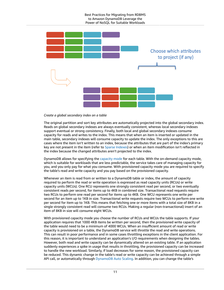

#### *Create a global secondary index on a table*

The original partition and sort key attributes are automatically projected into the global secondary index. Reads on global secondary indexes are always eventually consistent, whereas local secondary indexes support eventual or strong consistency. Finally, both local and global secondary indexes consume capacity for reads and writes to the index. This means that when an item is inserted or updated in the main table, secondary indexes will consume capacity to update the index. The only exceptions to this are cases where the item isn't written to an index, because the attributes that are part of the index's primary key are not present in the item (refer to Sparse [Indexes](https://docs.aws.amazon.com/amazondynamodb/latest/developerguide/bp-indexes-general-sparse-indexes.html)) or when an item modification isn't reflected in the index because the changed attributes aren't projected to the index.

DynamoDB allows for specifying the [capacity](https://docs.aws.amazon.com/amazondynamodb/latest/developerguide/HowItWorks.ReadWriteCapacityMode.html) mode for each table. With the on-demand capacity mode, which is suitable for workloads that are less predictable, the service takes care of managing capacity for you, and you only pay for what you consume. With provisioned capacity mode you are required to specify the table's read and write capacity and you pay based on the provisioned capacity.

Whenever an item is read from or written to a DynamoDB table or index, the amount of capacity required to perform the read or write operation is expressed as read capacity units (RCUs) or write capacity units (WCUs). One RCU represents one strongly consistent read per second, or two eventually consistent reads per second, for items up to 4KB in combined size. Transactional read requests require two RCUs to perform one read per second for items up to 4KB. One WCU represents one write per second for an item up to 1KB in size. Transactional write requests require two WCUs to perform one write per second for item up to 1KB. This means that fetching one or more items with a total size of 8KB in a single strongly consistent read will consume two RCUs. Making a regular (non-transactional) insert of an item of 8KB in size will consume eight WCUs.

With provisioned capacity mode you choose the number of RCUs and WCUs the table supports. If your application requires that 1000 4KB items be written per second, then the provisioned write capacity of the table would need to be a minimum of 4000 WCUs. When an insufficient amount of read or write capacity is provisioned on a table, the DynamoDB service will *throttle* the read and write operations. This can result in poor performance and in some cases throttling exceptions in the client application. For this reason, it is important to understand an application's I/O requirements when designing the tables. However, both read and write capacity can be dynamically altered on an existing table. If an application suddenly experiences a spike in usage that results in throttling, the provisioned capacity can be increased to handle the new workload. Similarly, if load decreases for some reason, the provisioned capacity can be reduced. This dynamic change in the table's read or write capacity can be achieved through a simple API call, or automatically through [DynamoDB Auto Scaling.](https://docs.aws.amazon.com/amazondynamodb/latest/developerguide/AutoScaling.html) In addition, you can change the table's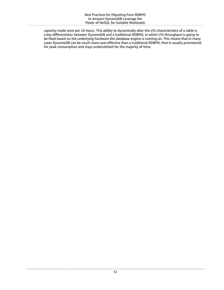capacity mode once per 24 hours. This ability to dynamically alter the I/O characteristics of a table is a key differentiator between DynamoDB and a traditional RDBMS, in which I/O throughput is going to be fixed based on the underlying hardware the database engine is running on. This means that in many cases DynamoDB can be much more cost-effective than a traditional RDBMS, that is usually provisioned for peak consumption and stays underutilized for the majority of time.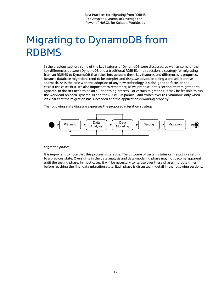## <span id="page-15-0"></span>Migrating to DynamoDB from RDBMS

In the previous section, some of the key features of DynamoDB were discussed, as well as some of the key differences between DynamoDB and a traditional RDBMS. In this section, a strategy for migrating from an RDBMS to DynamoDB that takes into account these key features and differences is proposed. Because database migrations tend to be complex and risky, we advocate taking a phased, iterative approach. As is the case with the adoption of any new technology, it's also good to focus on the easiest use cases first. It's also important to remember, as we propose in this section, that migration to DynamoDB doesn't need to be an all or nothing process. For certain migrations, it may be feasible to run the workload on both DynamoDB and the RDBMS in parallel, and switch over to DynamoDB only when it's clear that the migration has succeeded and the application is working properly.

The following state diagram expresses the proposed migration strategy:



#### *Migration phases*

It is important to note that this process is iterative. The outcome of certain states can result in a return to a previous state. Oversights in the data analysis and data-modeling phase may not become apparent until the testing phase. In most cases, it will be necessary to iterate over these phases multiple times before reaching the final data migration state. Each phase is discussed in detail in the following sections.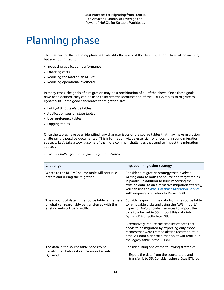### <span id="page-16-0"></span>Planning phase

The first part of the planning phase is to identify the goals of the data migration. These often include, but are not limited to:

- Increasing application performance
- Lowering costs
- Reducing the load on an RDBMS
- Reducing operational overhead

In many cases, the goals of a migration may be a combination of all of the above. Once these goals have been defined, they can be used to inform the identification of the RDMBS tables to migrate to DynamoDB. Some good candidates for migration are:

- Entity-Attribute-Value tables
- Application session state tables
- User preference tables
- Logging tables

Once the tables have been identified, any characteristics of the source tables that may make migration challenging should be documented. This information will be essential for choosing a sound migration strategy. Let's take a look at some of the more common challenges that tend to impact the migration strategy:

*Table 3 – Challenges that impact migration strategy*

| <b>Challenge</b>                                                                                                                     | <b>Impact on migration strategy</b>                                                                                                                                                                                                                                                                  |  |  |  |
|--------------------------------------------------------------------------------------------------------------------------------------|------------------------------------------------------------------------------------------------------------------------------------------------------------------------------------------------------------------------------------------------------------------------------------------------------|--|--|--|
| Writes to the RDBMS source table will continue<br>before and during the migration.                                                   | Consider a migration strategy that involves<br>writing data to both the source and target tables<br>in parallel in addition to bulk importing the<br>existing data. As an alternative migration strategy,<br>you can use the AWS Database Migration Service<br>with ongoing replication to DynamoDB. |  |  |  |
| The amount of data in the source table is in excess<br>of what can reasonably be transferred with the<br>existing network bandwidth. | Consider exporting the data from the source table<br>to removable disks and using the AWS Import/<br>Export or AWS Snowball services to import the<br>data to a bucket in S3. Import this data into<br>DynamoDB directly from S3.                                                                    |  |  |  |
|                                                                                                                                      | Alternatively, reduce the amount of data that<br>needs to be migrated by exporting only those<br>records that were created after a recent point in<br>time. All data older than that point will remain in<br>the legacy table in the RDBMS.                                                          |  |  |  |
| The data in the source table needs to be<br>transformed before it can be imported into<br>DynamoDB.                                  | Consider using one of the following strategies:<br>• Export the data from the source table and<br>transfer it to S3. Consider using a Glue ETL job                                                                                                                                                   |  |  |  |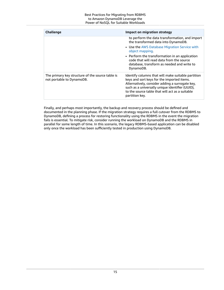| Challenge                                                                     | Impact on migration strategy                                                                                                                                                                                                                                                |
|-------------------------------------------------------------------------------|-----------------------------------------------------------------------------------------------------------------------------------------------------------------------------------------------------------------------------------------------------------------------------|
|                                                                               | to perform the data transformation, and import<br>the transformed data into DynamoDB.                                                                                                                                                                                       |
|                                                                               | • Use the AWS Database Migration Service with<br>object mapping.                                                                                                                                                                                                            |
|                                                                               | • Perform the transformation in an application<br>code that will read data from the source<br>database, transform as needed and write to<br>DynamoDB.                                                                                                                       |
| The primary key structure of the source table is<br>not portable to DynamoDB. | Identify columns that will make suitable partition<br>keys and sort keys for the imported items.<br>Alternatively, consider adding a surrogate key,<br>such as a universally unique identifier (UUID),<br>to the source table that will act as a suitable<br>partition key. |

Finally, and perhaps most importantly, the backup and recovery process should be defined and documented in the planning phase. If the migration strategy requires a full cutover from the RDBMS to DynamoDB, defining a process for restoring functionality using the RDBMS in the event the migration fails is essential. To mitigate risk, consider running the workload on DynamoDB and the RDBMS in parallel for some length of time. In this scenario, the legacy RDBMS-based application can be disabled only once the workload has been sufficiently tested in production using DynamoDB.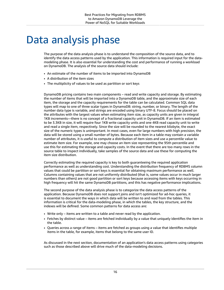## <span id="page-18-0"></span>Data analysis phase

The purpose of the data analysis phase is to understand the composition of the source data, and to identify the data access patterns used by the application. This information is required input for the datamodeling phase. It is also essential for understanding the cost and performance of running a workload on DynamoDB. The analysis of the source data should include:

- An estimate of the number of items to be imported into DynamoDB
- A distribution of the item sizes
- The multiplicity of values to be used as partition or sort keys

DynamoDB pricing contains two main components – read and write capacity and storage. By estimating the number of items that will be imported into a DynamoDB table, and the approximate size of each item, the storage and the capacity requirements for the table can be calculated. Common SQL data types will map to one of three scalar types in DynamoDB: string, number, or binary. The length of the number data type is variable, and strings are encoded using binary UTF-8. Focus should be placed on the attributes with the largest values when estimating item size, as capacity units are given in integral 1KB increments—there is no concept of a fractional capacity unit in DynamoDB. If an item is estimated to be 3.3KB in size, it will require four 1KB write capacity units and one 4KB read capacity unit to write and read a single item, respectively. Since the size will be rounded to the nearest kilobyte, the exact size of the numeric types is unimportant. In most cases, even for large numbers with high precision, the data will be stored using a small number of bytes. Because each item in a table may contain a variable number of attributes, it is useful to compute a distribution of item sizes and use a percentile value to estimate item size. For example, one may choose an item size representing the 95th percentile and use this for estimating the storage and capacity costs. In the event that there are too many rows in the source table to inspect individually, take samples of the source data and use these for computing the item size distribution.

Correctly estimating the required capacity is key to both guaranteeing the required application performance as well as understanding cost. Understanding the distribution frequency of RDBMS column values that could be partition or sort keys is essential for obtaining maximum performance as well. Columns containing values that are not uniformly distributed (that is, some values occur in much larger numbers than others) are not good partition or sort keys because accessing items with keys occurring in high frequency will hit the same DynamoDB partitions, and this has negative performance implications.

The second purpose of the data analysis phase is to categorize the data access patterns of the application. Because DynamoDB does not support joins and isn't optimized for ad-hoc queries, it is essential to document the ways in which data will be written to and read from the tables. This information is critical for the data-modeling phase, in which the tables, the key structure, and the indexes will be defined. Some common patterns for data access are:

- Write only items are written to a table and never read by the application.
- Fetches by distinct value items are fetched individually by a value that uniquely identifies the item in the table.
- Queries across a range of items items are fetched as groups using a value that identifies multiple items in the table, for example, items that belong to the same user ID.

As discussed in the next section, documentation of an application's data access patterns using categories such as those described above will drive much of the data-modeling decisions.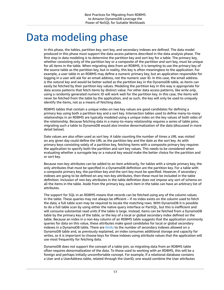### <span id="page-19-0"></span>Data modeling phase

In this phase, the tables, partition key, sort key, and secondary indexes are defined. The data model produced in this phase must support the data access patterns described in the data analysis phase. The first step in data modeling is to determine the partition key and sort key for a table. The primary key, whether consisting only of the partition key or a composite of the partition and sort key, must be unique for all items in the table. When migrating data from an RDBMS, it is tempting to use the primary key of the source table as the partition key, but in reality, this key is often meaningless to the application. For example, a user table in an RDBMS may define a numeric primary key, but an application responsible for logging in a user will ask for an email address, not the numeric user ID. In this case, the email address is the *natural key* and would be better suited as the partition key in the DynamoDB table, as items can easily be fetched by their partition key values. Modeling the partition key in this way is appropriate for data access patterns that fetch items by distinct value. For other data access patterns, like *write only*, using a randomly generated numeric ID will work well for the partition key. In this case, the items will never be fetched from the table by the application, and as such, the key will only be used to uniquely identify the items, not as a means of fetching data.

RDBMS tables that contain a unique index on two key values are good candidates for defining a primary key using both a partition key and a sort key. Intersection tables used to define many-to-many relationships in an RDBMS are typically modeled using a unique index on the key values of both sides of the relationship. Because fetching data in a many-to-many relationship requires a series of table joins, migrating such a table to DynamoDB would also involve denormalization of the data (discussed in more detail below).

Date values are also often used as sort key. A table counting the number of times a URL was visited on any given day could define the URL as the partition key and the date as the sort key. As with primary keys consisting solely of a partition key, fetching items with a composite primary key requires the application to specify both the partition and sort key values. This needs to be considered when evaluating whether a surrogate key or a natural key would make the better choice for the partition and or sort key.

Because non-key attributes can be added to an item arbitrarily, for tables with a simple primary key, the only attributes that must be specified in a DynamoDB definition are the partition key. For a table with a composite primary key, the partition key and the sort key must be specified. However, if secondary indexes are going to be defined on any non-key attributes, then these must be included in the table definition. Inclusion of non-key attributes in the table definition does not impose any sort of schema on all the items in the table. Aside from the primary key, each item in the table can have an arbitrary list of attributes.

The support for SQL in an RDBMS means that records can be fetched using any of the column values in the table. These queries may not always be efficient – if no index exists on the column used to fetch the data, a full table scan may be required to locate the matching rows. With DynamoDB it is possible to do a full table scan by using either the native query interface or PartiQL, but this is inefficient and will consume substantial read units if the table is large. Instead, items can be fetched from a DynamoDB table by the primary key of the table, or the key of a local or global secondary index defined on the table. Because an index in a non-key column of an RDBMS table suggests that the application commonly queries for data on this value, these attributes make good candidates for local or global secondary indexes in a DynamoDB table. There are [limits](https://docs.aws.amazon.com/amazondynamodb/latest/developerguide/Limits.html) to the number of secondary indexes allowed on a DynamoDB table and, as previously explained, an index consumes additional storage and capacity for writes, so it is important to choose keys for these indexes using attribute values that the application will use most frequently for fetching data.

DynamoDB does not support the concept of a table join, so migrating data from an RDBMS table often requires denormalization of the data. To those used to working with an RDBMS, this will be a foreign and perhaps initially uncomfortable concept. For example, if a relational database contains a User and a UserAddress table, related through the UserID, one would combine the User attributes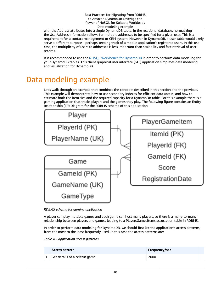with the Address attributes into a single DynamoDB table. In the relational database, normalizing the UserAddress information allows for multiple addresses to be specified for a given user. This is a requirement for a contact management or CRM system. However, in DynamoDB, a user table would likely serve a different purpose—perhaps keeping track of a mobile application's registered users. In this usecase, the multiplicity of users to addresses is less important than scalability and fast retrieval of user records.

It is recommended to use the NOSQL [Workbench](https://docs.aws.amazon.com/amazondynamodb/latest/developerguide/workbench.html) for DynamoDB in order to perform data modeling for your DynamoDB tables. This client graphical user interface (GUI) application simplifies data modeling and visualization for DynamoDB.

### <span id="page-20-0"></span>Data modeling example

Let's walk through an example that combines the concepts described in this section and the previous. This example will demonstrate how to use secondary indexes for efficient data access, and how to estimate both the item size and the required capacity for a DynamoDB table. For this example there is a gaming application that tracks players and the games they play. The following figure contains an Entity Relationship (ER) Diagram for the RDBMS schema of this application.



*RDBMS schema for gaming application*

A player can play multiple games and each game can host many players, so there is a many-to-many relationship between players and games, leading to a PlayersGamesItems association table in RDBMS.

In order to perform data modeling for DynamoDB, we should first list the application's access patterns, from the most to the least frequently used. In this case the access patterns are:

| Access pattern                | Frequency/sec |  |
|-------------------------------|---------------|--|
| Get details of a certain game | 2000          |  |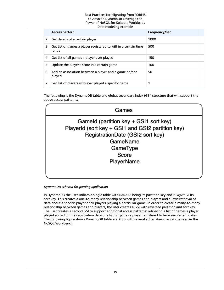|   | <b>Access pattern</b>                                                   | Frequency/sec |  |
|---|-------------------------------------------------------------------------|---------------|--|
| 2 | Get details of a certain player                                         | 1000          |  |
| 3 | Get list of games a player registered to within a certain time<br>range | 500           |  |
| 4 | Get list of all games a player ever played                              | 150           |  |
| 5 | Update the player's score in a certain game                             | 100           |  |
| 6 | Add an association between a player and a game he/she<br>played         | 50            |  |
| 7 | Get list of players who ever played a specific game                     |               |  |

The following is the DynamoDB table and global secondary index (GSI) structure that will support the above access patterns:

| Games                                                                                                                                                                          |  |
|--------------------------------------------------------------------------------------------------------------------------------------------------------------------------------|--|
| Gameld (partition key + GSI1 sort key)<br>PlayerId (sort key + GSI1 and GSI2 partition key)<br>RegistrationDate (GSI2 sort key)<br>GameName<br>GameType<br>Score<br>PlayerName |  |
|                                                                                                                                                                                |  |

#### *DynamoDB schema for gaming application*

In DynamoDB the user utilizes a single table with GameId being its partition key and PlayerId its sort key. This creates a one-to-many relationship between games and players and allows retrieval of data about a specific player or all players playing a particular game. In order to create a many-to-many relationship between games and players, the user creates a GSI with reversed partition and sort key. The user creates a second GSI to support additional access patterns: retrieving a list of games a player played sorted on the registration date or a list of games a player registered to between certain dates. The following figure shows DynamoDB table and GSIs with several added items, as can be seen in the NoSQL Workbench.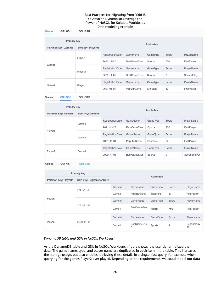| Games       | GSI: GSI1             | GSI: GSI2           |                   |                     |          |                |              |
|-------------|-----------------------|---------------------|-------------------|---------------------|----------|----------------|--------------|
| Primary key |                       |                     | <b>Attributes</b> |                     |          |                |              |
|             | Partition key: Gameld | Sort key: PlayerId  |                   |                     |          |                |              |
|             |                       | Player1             | RegistrationDate  | GameName            | GameType | Score          | PlayerName   |
|             | Game1                 |                     | 2021-11-22        | <b>BestGameEver</b> | Sports   | 750            | FirstPlayer  |
|             |                       | Player <sub>2</sub> | RegistrationDate  | GameName            | GameType | Score          | PlayerName   |
|             |                       |                     | 2020-11-01        | <b>BestGameEver</b> | Sports   | $\overline{2}$ | SecondPlayer |
| Game2       |                       | Player1             | RegistrationDate  | GameName            | GameType | Score          | PlayerName   |
|             |                       |                     | 2021-01-01        | PopularGame         | Shooters | 57             | FirstPlayer  |

**GSI: GSI1** GSI: GSI2 Games

| Primary key             |                  |                  |                     | <b>Attributes</b> |       |              |  |  |  |  |
|-------------------------|------------------|------------------|---------------------|-------------------|-------|--------------|--|--|--|--|
| Partition key: PlayerId | Sort key: Gameld |                  |                     |                   |       |              |  |  |  |  |
|                         | Game1            | RegistrationDate | GameName            | GameType          | Score | PlayerName   |  |  |  |  |
|                         |                  | 2021-11-22       | <b>BestGameEver</b> | Sports            | 750   | FirstPlayer  |  |  |  |  |
| Player1                 | Game2            | RegistrationDate | GameName            | GameType          | Score | PlayerName   |  |  |  |  |
|                         |                  | 2021-01-01       | PopularGame         | Shooters          | 57    | FirstPlayer  |  |  |  |  |
|                         | Game1            | RegistrationDate | GameName            | GameType          | Score | PlayerName   |  |  |  |  |
| Player2                 |                  | 2020-11-01       | <b>BestGameEver</b> | Sports            | 2     | SecondPlayer |  |  |  |  |

Games GSI: GSI1 **GSI: GSI2** 

| Primary key             |                            | <b>Attributes</b>    |                    |          |             |                  |
|-------------------------|----------------------------|----------------------|--------------------|----------|-------------|------------------|
| Partition key: PlayerId | Sort key: RegistrationDate |                      |                    |          |             |                  |
| Player1                 | 2021-01-01                 | Gameld               | GameName           | GameType | Score       | PlayerName       |
|                         |                            | PopularGame<br>Game2 | Shooters           | 57       | FirstPlayer |                  |
|                         | 2021-11-22                 | Gameld               | GameName           | GameType | Score       | PlayerName       |
|                         |                            | Game1                | <b>BestGameEve</b> | Sports   | 750         | FirstPlayer      |
|                         |                            | Gameld               | GameName           | GameType | Score       | PlayerName       |
| Player <sub>2</sub>     | 2020-11-01                 | Game1                | <b>BestGameEve</b> | Sports   | 2           | SecondPlay<br>er |

#### *DynamoDB table and GSIs in NoSQL Workbench*

As the DynamoDB table and GSIs in NoSQL Workbench figure shows, the user denormalized the data. The game name, type, and player name are duplicated in each item in the table. This increases the storage usage, but also enables retrieving these details in a single, fast query, for example when querying for the games Player2 ever played. Depending on the requirements, we could model our data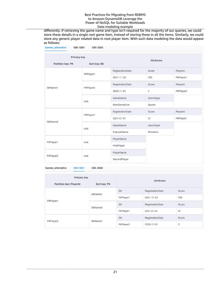differently. If retrieving the game name and type isn't required for the majority of our queries, we could store these details in a single *root* game item, instead of storing these in all the items. Similarly, we could store any generic player related data in root player item. With such data modeling the data would appear as follows:

| <b>Games alternative</b><br>GSI: GSI1 | GSI: GSI2    |                           |          |           |
|---------------------------------------|--------------|---------------------------|----------|-----------|
| Primary key                           |              |                           |          |           |
| Partition key: PK                     | Sort key: SK | <b>Attributes</b>         |          |           |
|                                       | P#Player1    | RegistrationDate<br>Score | PlayerId |           |
|                                       |              | 2021-11-22                | 750      | P#Player1 |
| G#Game1                               | P#Player2    | RegistrationDate          | Score    | PlayerId  |
|                                       |              | 2020-11-01                | 2        | P#Player2 |
|                                       | root         | GameName                  | GameType |           |
|                                       |              | <b>BestGameEver</b>       | Sports   |           |
|                                       | P#Player1    | RegistrationDate          | Score    | PlayerId  |
| G#Game2                               |              | 2021-01-01                | 57       | P#Player1 |
|                                       | root         | GameName                  | GameType |           |
|                                       |              | PopularGame               | Shooters |           |
| P#Player1                             |              | PlayerName                |          |           |
|                                       | root         | FirstPlayer               |          |           |
| P#Player2                             | root         | PlayerName                |          |           |
|                                       |              | SecondPlayer              |          |           |

Games\_alternative **GSI: GSI1** GSI: GSI2

| Primary key             |              | <b>Attributes</b>             |                   |       |
|-------------------------|--------------|-------------------------------|-------------------|-------|
| Partition key: PlayerId | Sort key: PK |                               |                   |       |
|                         | G#Game1      | <b>SK</b><br>RegistrationDate |                   | Score |
| P#Player1               |              | P#Player1                     | 750<br>2021-11-22 |       |
|                         | G#Game2      | SK                            | RegistrationDate  | Score |
|                         |              | P#Player1                     | 57<br>2021-01-01  |       |
|                         |              | <b>SK</b>                     | RegistrationDate  | Score |
| P#Player2               | G#Game1      | P#Player2                     | 2020-11-01        | 2     |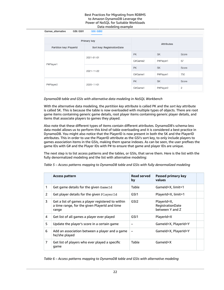| GSI: GSI1<br>Games_alternative | <b>GSI: GSI2</b>           |                                                      |           |       |
|--------------------------------|----------------------------|------------------------------------------------------|-----------|-------|
| Primary key                    | <b>Attributes</b>          |                                                      |           |       |
| Partition key: PlayerId        | Sort key: RegistrationDate |                                                      |           |       |
|                                | 2021-01-01                 | <b>PK</b><br><b>SK</b><br>P#Player1<br>57<br>G#Game2 | Score     |       |
| P#Player1                      |                            |                                                      |           |       |
|                                | 2021-11-22                 | <b>PK</b>                                            | <b>SK</b> | Score |
|                                |                            | G#Game1                                              | P#Player1 | 750   |
| P#Player2                      | 2020-11-01                 | <b>PK</b>                                            | <b>SK</b> | Score |
|                                |                            | G#Game1                                              | P#Player2 | 2     |

#### *DynamoDB table and GSIs with alternative data modeling in NoSQL Workbench*

With the alternative data modeling, the *partition key* attribute is called PK and the *sort key* attribute is called SK. This is because the table is now overloaded with multiple types of objects. There are root game items containing generic game details, root player items containing generic player details, and items that associate players to games they played.

Also note that these different types of items contain different attributes. DynamoDB's schema-less data model allows us to perform this kind of table overloading and it is considered a best practice in DynamoDB. You might also notice that the PlayerID is now present in both the SK and the PlayerID attributes. This in order to use the PlayerID attribute as the GSI's sort key, to only include players to games association items in the GSIs, making them sparse indexes. As can be seen, the user prefixes the game IDs with G# and the Player IDs with P# to ensure that game and player IDs are unique.

The next step is to list access patterns and the tables, or GSIs, that serve them. Here is the list with the fully denormalized modeling and the list with alternative modeling:

|    | <b>Access pattern</b>                                                                                       | <b>Read served</b><br>by | Passed primary key<br>values                       |  |
|----|-------------------------------------------------------------------------------------------------------------|--------------------------|----------------------------------------------------|--|
| 1  | Get game details for the given Game Id                                                                      | Table                    | Gameld=X, limit=1                                  |  |
| 2  | Get player details for the given PlayerId                                                                   | GSI1                     | PlayerId=X, limit=1                                |  |
| 3  | Get a list of games a player registered to within<br>a time range, for the given PlayerId and time<br>range | GSI <sub>2</sub>         | PlayerId=X,<br>RegistrationDate<br>between Y and Z |  |
| 4  | Get list of all games a player ever played                                                                  | GSI1                     | PlayerId=X                                         |  |
| 5. | Update the player's score in a certain game                                                                 |                          | Gameld=X, PlayerId=Y                               |  |
| 6  | Add an association between a player and a game<br>he/she played                                             |                          | Gameld=X, PlayerId=Y                               |  |
| 7  | Get list of players who ever played a specific<br>game                                                      | Table                    | Gameld=X                                           |  |

*Table 5 – Access patterns mapping to DynamoDB table and GSIs with fully denormalized modeling*

*Table 6 – Access patterns mapping to DynamoDB table and GSIs with alternative modeling*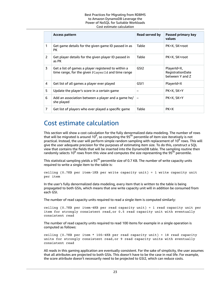#### Best Practices for Migrating from RDBMS to Amazon DynamoDB Leverage the Power of NoSQL for Suitable Workloads Cost estimate calculation

|                | <b>Access pattern</b>                                                                                    | Read served by   | Passed primary key<br>values                       |
|----------------|----------------------------------------------------------------------------------------------------------|------------------|----------------------------------------------------|
| 1              | Get game details for the given game ID passed in as<br>PК                                                | Table            | PK=X, SK=root                                      |
| $\overline{2}$ | Get player details for the given player ID passed in<br>as PK                                            | Table            | PK=X, SK=root                                      |
| 3              | Get a list of games a player registered to within a<br>time range, for the given PlayerId and time range | GSI <sub>2</sub> | PlayerId=X,<br>RegistrationDate<br>between Y and Z |
| 4              | Get list of all games a player ever played                                                               | GSI1             | PlayerId=X                                         |
| 5              | Update the player's score in a certain game                                                              |                  | PK=X, SK=Y                                         |
| 6              | Add an association between a player and a game he/<br>she played                                         |                  | PK=X, SK=Y                                         |
| 7              | Get list of players who ever played a specific game                                                      | Table            | $PK=X$                                             |

### <span id="page-25-0"></span>Cost estimate calculation

This section will show a cost calculation for the fully denormalized data modeling. The number of rows that will be migrated is around 10<sup>8</sup>, so computing the 95<sup>th</sup> percentile of item size iteratively is not practical. Instead, the user will perform simple random sampling with replacement of 10<sup>6</sup> rows. This will give the user adequate precision for the purposes of estimating item size. To do this, construct a SQL view that contains the fields that will be inserted into the DynamoDB table. The sampling routine then randomly selects 10<sup>6</sup> rows from this view and computes the size representing the 95<sup>th</sup> percentile.

This statistical sampling yields a 95<sup>th</sup> percentile size of 0.7 KB. The number of write capacity units required to write a single item to the table is:

ceiling (0.7KB per item⁄1KB per write capacity unit) = 1 write capacity unit per item

In the user's fully denormalized data modeling, every item that is written to the table is being propagated to both GSIs, which means that one write capacity unit will in addition be consumed from each GSI.

The number of read capacity units required to read a single item is computed similarly:

ceiling (0.7KB per item⁄4KB per read capacity unit) = 1 read capacity unit per item for strongly consistent read,or 0.5 read capacity unit with eventually consistent read

The number of read capacity units required to read 100 items for example in a single operation is computed as follows:

ceiling (0.7KB per item \* 100⁄4KB per read capacity unit) = 18 read capacity units for strongly consistent read,or 9 read capacity units with eventually consistent read

All reads in this gaming application are eventually consistent. For the sake of simplicity, the user assumes that all attributes are projected to both GSIs. This doesn't have to be the case in real life. For example, the score attribute doesn't necessarily need to be projected to GSI2, which can reduce costs.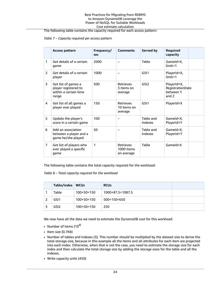#### Best Practices for Migrating from RDBMS to Amazon DynamoDB Leverage the Power of NoSQL for Suitable Workloads Cost estimate calculation

The following table contains the capacity required for each access pattern:

#### *Table 7 – Capacity required per access pattern*

|                | <b>Access pattern</b>                                                         | Frequency/<br><b>sec</b> | <b>Comments</b>                              | Served by            | <b>Required</b><br>capacity                           |  |
|----------------|-------------------------------------------------------------------------------|--------------------------|----------------------------------------------|----------------------|-------------------------------------------------------|--|
| 1              | Get details of a certain<br>game                                              | 2000                     | -                                            | Table                | Gameld=X.<br>$limit = 1$                              |  |
| 2              | Get details of a certain<br>player                                            | 1000                     |                                              | GSI1                 | PlayerId=X,<br>$limit = 1$                            |  |
| 3              | Get list of games a<br>player registered to<br>within a certain time<br>range | 500                      | <b>Retrieves</b><br>3 items on<br>average    | GSI <sub>2</sub>     | PlayerId=X,<br>RegistrationDate<br>between Y<br>and Z |  |
| 4              | Get list of all games a<br>player ever played                                 | 150                      | <b>Retrieves</b><br>10 items on<br>average   | GSI <sub>1</sub>     | PlayerId=X                                            |  |
| 5              | Update the player's<br>score in a certain game                                | 100                      |                                              | Table and<br>Indexes | Gameld=X,<br>PlayerId=Y                               |  |
| 6              | Add an association<br>between a player and a<br>game he/she played            | 50                       |                                              | Table and<br>Indexes | Gameld=X,<br>PlayerId=Y                               |  |
| $\overline{7}$ | Get list of players who<br>ever played a specific<br>game                     | 1                        | <b>Retrieves</b><br>1000 items<br>on average | Table                | Gameld=X                                              |  |

The following table contains the total capacity required for the workload:

*Table 8 – Total capacity required for the workload*

| Table/index      | WCUs         | <b>RCUs</b>      |  |
|------------------|--------------|------------------|--|
| Table            | $100+50=150$ | 1000+87.5=1087.5 |  |
| GSI1             | $100+50=150$ | 500+150=650      |  |
| GSI <sub>2</sub> | $100+50=150$ | 250              |  |

We now have all the data we need to estimate the DynamoDB cost for this workload:

- Number of items  $(10^{8})$
- Item size (0.7KB)
- Number of tables and indexes (3). This number should be multiplied by the dataset size to derive the total storage size, because in this example all the items and all attributes for each item are projected into each index. Otherwise, when that is not the case, you need to estimate the storage size for each index and then calculate the total storage size by adding the storage sizes for the table and all the indexes.
- Write capacity units (450)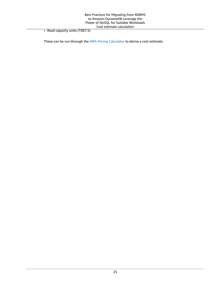• Read capacity units (1987.5)

These can be run through the AWS Pricing [Calculator](https://calculator.aws/) to derive a cost estimate.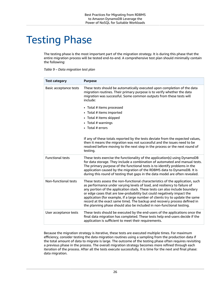## <span id="page-28-0"></span>Testing Phase

The testing phase is the most important part of the migration strategy. It is during this phase that the entire migration process will be tested end-to-end. A comprehensive test plan should minimally contain the following:

| <b>Test category</b>    | <b>Purpose</b>                                                                                                                                                                                                                                                                                                                                                                                                                                                                                                                                                                                                                |
|-------------------------|-------------------------------------------------------------------------------------------------------------------------------------------------------------------------------------------------------------------------------------------------------------------------------------------------------------------------------------------------------------------------------------------------------------------------------------------------------------------------------------------------------------------------------------------------------------------------------------------------------------------------------|
| Basic acceptance tests  | These tests should be automatically executed upon completion of the data<br>migration routines. Their primary purpose is to verify whether the data<br>migration was successful. Some common outputs from these tests will<br>include:<br>• Total # items processed<br>• Total # items imported<br>• Total # items skipped<br>• Total # warnings<br>• Total # errors<br>If any of these totals reported by the tests deviate from the expected values,<br>then it means the migration was not successful and the issues need to be<br>resolved before moving to the next step in the process or the next round of<br>testing. |
| <b>Functional tests</b> | These tests exercise the functionality of the application(s) using DynamoDB<br>for data storage. They include a combination of automated and manual tests.<br>The primary purpose of the functional tests is to identify problems in the<br>application caused by the migration of the RDBMS data to DynamoDB. It is<br>during this round of testing that gaps in the data model are often revealed.                                                                                                                                                                                                                          |
| Non-functional tests    | These tests assess the non-functional characteristics of the application, such<br>as performance under varying levels of load, and resiliency to failure of<br>any portion of the application stack. These tests can also include boundary<br>or edge cases that are low-probability but could negatively impact the<br>application (for example, if a large number of clients try to update the same<br>record at the exact same time). The backup and recovery process defined in<br>the planning phase should also be included in non-functional testing.                                                                  |
| User acceptance tests   | These tests should be executed by the end-users of the applications once the<br>final data migration has completed. These tests help end-users decide if the<br>application is sufficient to meet their requirements.                                                                                                                                                                                                                                                                                                                                                                                                         |

Because the migration strategy is iterative, these tests are executed multiple times. For maximum efficiency, consider testing the data migration routines using a sampling from the production data if the total amount of data to migrate is large. The outcome of the testing phase often requires revisiting a previous phase in the process. The overall migration strategy becomes more refined through each iteration of the process. After all the tests execute successfully, it is time for the next and final phase: data migration.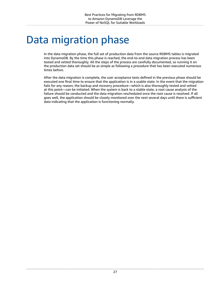## <span id="page-29-0"></span>Data migration phase

In the data migration phase, the full set of production data from the source RDBMS tables is migrated into DynamoDB. By the time this phase is reached, the end-to-end data migration process has been tested and vetted thoroughly. All the steps of the process are carefully documented, so running it on the production data set should be as simple as following a procedure that has been executed numerous times before.

After the data migration is complete, the user acceptance tests defined in the previous phase should be executed one final time to ensure that the application is in a usable state. In the event that the migration fails for any reason, the backup and recovery procedure—which is also thoroughly tested and vetted at this point—can be initiated. When the system is back to a stable state, a root cause analysis of the failure should be conducted and the data migration rescheduled once the root cause is resolved. If all goes well, the application should be closely monitored over the next several days until there is sufficient data indicating that the application is functioning normally.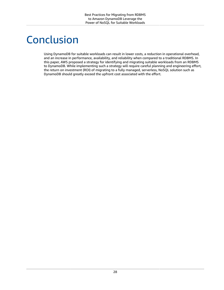## <span id="page-30-0"></span>Conclusion

Using DynamoDB for suitable workloads can result in lower costs, a reduction in operational overhead, and an increase in performance, availability, and reliability when compared to a traditional RDBMS. In this paper, AWS proposed a strategy for identifying and migrating suitable workloads from an RDBMS to DynamoDB. While implementing such a strategy will require careful planning and engineering effort, the return on investment (ROI) of migrating to a fully managed, serverless, NoSQL solution such as DynamoDB should greatly exceed the upfront cost associated with the effort.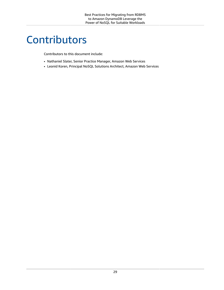## <span id="page-31-0"></span>**Contributors**

Contributors to this document include:

- Nathaniel Slater, Senior Practice Manager, Amazon Web Services
- Leonid Koren, Principal NoSQL Solutions Architect, Amazon Web Services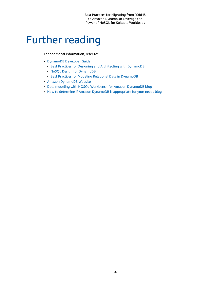### <span id="page-32-0"></span>Further reading

For additional information, refer to:

- [DynamoDB](https://docs.aws.amazon.com/amazondynamodb/latest/developerguide/GettingStartedDynamoDB.html) Developer Guide
	- Best Practices for Designing and [Architecting](https://docs.aws.amazon.com/amazondynamodb/latest/developerguide/best-practices.html) with DynamoDB
	- NoSQL Design for [DynamoDB](https://docs.aws.amazon.com/amazondynamodb/latest/developerguide/bp-general-nosql-design.html)
	- Best Practices for Modeling Relational Data in [DynamoDB](https://docs.aws.amazon.com/amazondynamodb/latest/developerguide/bp-relational-modeling.html)
- Amazon [DynamoDB](http://aws.amazon.com/dynamodb/) Website
- Data modeling with NOSQL [Workbench](http://aws.amazon.com/blogs/database/data-modeling-with-nosql-workbench-for-amazon-dynamodb/) for Amazon DynamoDB blog
- How to determine if Amazon DynamoDB is [appropriate](http://aws.amazon.com/blogs/database/how-to-determine-if-amazon-dynamodb-is-appropriate-for-your-needs-and-then-plan-your-migration/) for your needs blog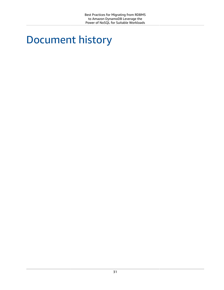## <span id="page-33-0"></span>Document history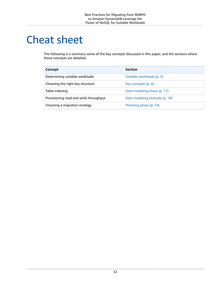## <span id="page-34-0"></span>Cheat sheet

The following is a summary some of the key concepts discussed in this paper, and the sections where those concepts are detailed:

| Concept                                | <b>Section</b>                |
|----------------------------------------|-------------------------------|
| Determining suitable workloads         | Suitable workloads (p. 5)     |
| Choosing the right key structure       | Key concepts (p. 8)           |
| Table indexing                         | Data modeling phase (p. 17)   |
| Provisioning read and write throughput | Data modeling example (p. 18) |
| Choosing a migration strategy          | Planning phase (p. 14)        |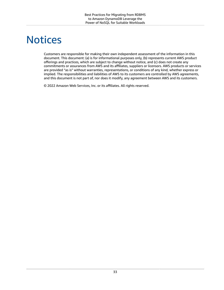### <span id="page-35-0"></span>**Notices**

Customers are responsible for making their own independent assessment of the information in this document. This document: (a) is for informational purposes only, (b) represents current AWS product offerings and practices, which are subject to change without notice, and (c) does not create any commitments or assurances from AWS and its affiliates, suppliers or licensors. AWS products or services are provided "as is" without warranties, representations, or conditions of any kind, whether express or implied. The responsibilities and liabilities of AWS to its customers are controlled by AWS agreements, and this document is not part of, nor does it modify, any agreement between AWS and its customers.

© 2022 Amazon Web Services, Inc. or its affiliates. All rights reserved.